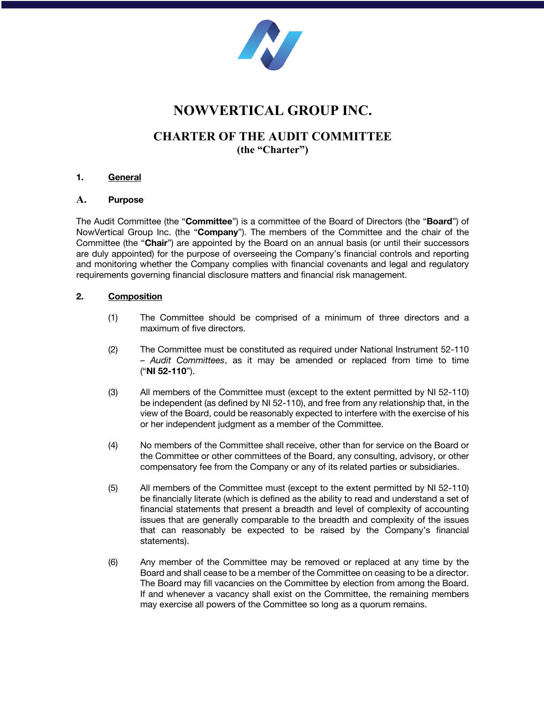

# **NOWVERTICAL GROUP INC.**

## **CHARTER OF THE AUDIT COMMITTEE (the "Charter")**

## **1. General**

#### **A. Purpose**

The Audit Committee (the "**Committee**") is a committee of the Board of Directors (the "**Board**") of NowVertical Group Inc. (the "**Company**"). The members of the Committee and the chair of the Committee (the "**Chair**") are appointed by the Board on an annual basis (or until their successors are duly appointed) for the purpose of overseeing the Company's financial controls and reporting and monitoring whether the Company complies with financial covenants and legal and regulatory requirements governing financial disclosure matters and financial risk management.

#### **2. Composition**

- (1) The Committee should be comprised of a minimum of three directors and a maximum of five directors.
- (2) The Committee must be constituted as required under National Instrument 52-110 – *Audit Committees*, as it may be amended or replaced from time to time ("**NI 52-110**").
- (3) All members of the Committee must (except to the extent permitted by NI 52-110) be independent (as defined by NI 52-110), and free from any relationship that, in the view of the Board, could be reasonably expected to interfere with the exercise of his or her independent judgment as a member of the Committee.
- (4) No members of the Committee shall receive, other than for service on the Board or the Committee or other committees of the Board, any consulting, advisory, or other compensatory fee from the Company or any of its related parties or subsidiaries.
- (5) All members of the Committee must (except to the extent permitted by NI 52-110) be financially literate (which is defined as the ability to read and understand a set of financial statements that present a breadth and level of complexity of accounting issues that are generally comparable to the breadth and complexity of the issues that can reasonably be expected to be raised by the Company's financial statements).
- (6) Any member of the Committee may be removed or replaced at any time by the Board and shall cease to be a member of the Committee on ceasing to be a director. The Board may fill vacancies on the Committee by election from among the Board. If and whenever a vacancy shall exist on the Committee, the remaining members may exercise all powers of the Committee so long as a quorum remains.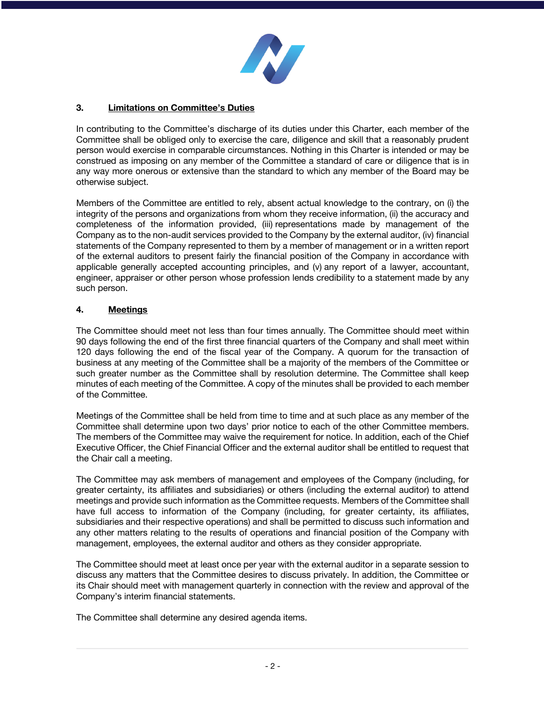

## **3. Limitations on Committee's Duties**

In contributing to the Committee's discharge of its duties under this Charter, each member of the Committee shall be obliged only to exercise the care, diligence and skill that a reasonably prudent person would exercise in comparable circumstances. Nothing in this Charter is intended or may be construed as imposing on any member of the Committee a standard of care or diligence that is in any way more onerous or extensive than the standard to which any member of the Board may be otherwise subject.

Members of the Committee are entitled to rely, absent actual knowledge to the contrary, on (i) the integrity of the persons and organizations from whom they receive information, (ii) the accuracy and completeness of the information provided, (iii) representations made by management of the Company as to the non-audit services provided to the Company by the external auditor, (iv) financial statements of the Company represented to them by a member of management or in a written report of the external auditors to present fairly the financial position of the Company in accordance with applicable generally accepted accounting principles, and (v) any report of a lawyer, accountant, engineer, appraiser or other person whose profession lends credibility to a statement made by any such person.

## **4. Meetings**

The Committee should meet not less than four times annually. The Committee should meet within 90 days following the end of the first three financial quarters of the Company and shall meet within 120 days following the end of the fiscal year of the Company. A quorum for the transaction of business at any meeting of the Committee shall be a majority of the members of the Committee or such greater number as the Committee shall by resolution determine. The Committee shall keep minutes of each meeting of the Committee. A copy of the minutes shall be provided to each member of the Committee.

Meetings of the Committee shall be held from time to time and at such place as any member of the Committee shall determine upon two days' prior notice to each of the other Committee members. The members of the Committee may waive the requirement for notice. In addition, each of the Chief Executive Officer, the Chief Financial Officer and the external auditor shall be entitled to request that the Chair call a meeting.

The Committee may ask members of management and employees of the Company (including, for greater certainty, its affiliates and subsidiaries) or others (including the external auditor) to attend meetings and provide such information as the Committee requests. Members of the Committee shall have full access to information of the Company (including, for greater certainty, its affiliates, subsidiaries and their respective operations) and shall be permitted to discuss such information and any other matters relating to the results of operations and financial position of the Company with management, employees, the external auditor and others as they consider appropriate.

The Committee should meet at least once per year with the external auditor in a separate session to discuss any matters that the Committee desires to discuss privately. In addition, the Committee or its Chair should meet with management quarterly in connection with the review and approval of the Company's interim financial statements.

The Committee shall determine any desired agenda items.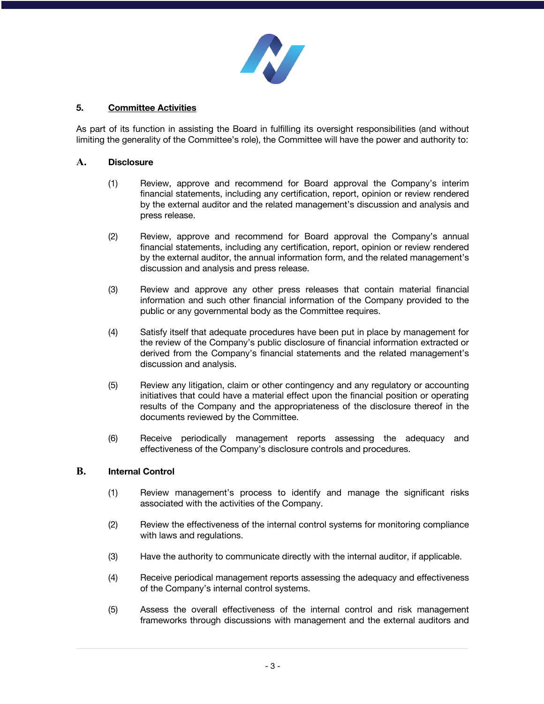

## **5. Committee Activities**

As part of its function in assisting the Board in fulfilling its oversight responsibilities (and without limiting the generality of the Committee's role), the Committee will have the power and authority to:

#### **A. Disclosure**

- (1) Review, approve and recommend for Board approval the Company's interim financial statements, including any certification, report, opinion or review rendered by the external auditor and the related management's discussion and analysis and press release.
- (2) Review, approve and recommend for Board approval the Company's annual financial statements, including any certification, report, opinion or review rendered by the external auditor, the annual information form, and the related management's discussion and analysis and press release.
- (3) Review and approve any other press releases that contain material financial information and such other financial information of the Company provided to the public or any governmental body as the Committee requires.
- (4) Satisfy itself that adequate procedures have been put in place by management for the review of the Company's public disclosure of financial information extracted or derived from the Company's financial statements and the related management's discussion and analysis.
- (5) Review any litigation, claim or other contingency and any regulatory or accounting initiatives that could have a material effect upon the financial position or operating results of the Company and the appropriateness of the disclosure thereof in the documents reviewed by the Committee.
- (6) Receive periodically management reports assessing the adequacy and effectiveness of the Company's disclosure controls and procedures.

#### **B. Internal Control**

- (1) Review management's process to identify and manage the significant risks associated with the activities of the Company.
- (2) Review the effectiveness of the internal control systems for monitoring compliance with laws and regulations.
- (3) Have the authority to communicate directly with the internal auditor, if applicable.
- (4) Receive periodical management reports assessing the adequacy and effectiveness of the Company's internal control systems.
- (5) Assess the overall effectiveness of the internal control and risk management frameworks through discussions with management and the external auditors and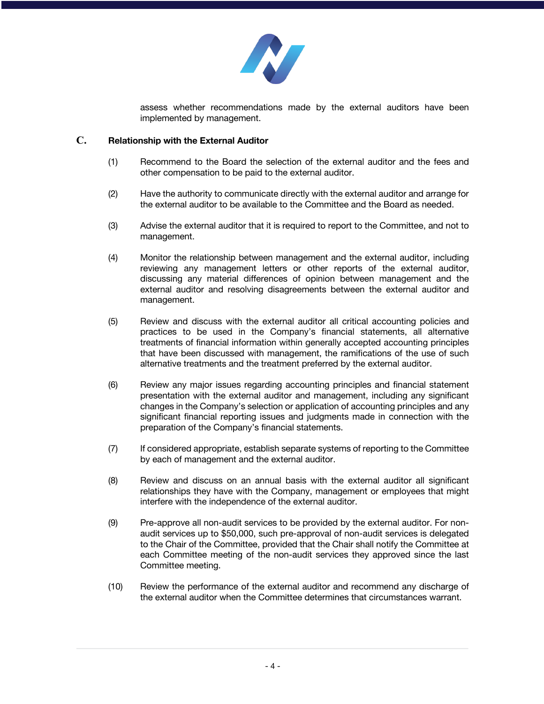

assess whether recommendations made by the external auditors have been implemented by management.

#### **C. Relationship with the External Auditor**

- (1) Recommend to the Board the selection of the external auditor and the fees and other compensation to be paid to the external auditor.
- (2) Have the authority to communicate directly with the external auditor and arrange for the external auditor to be available to the Committee and the Board as needed.
- (3) Advise the external auditor that it is required to report to the Committee, and not to management.
- (4) Monitor the relationship between management and the external auditor, including reviewing any management letters or other reports of the external auditor, discussing any material differences of opinion between management and the external auditor and resolving disagreements between the external auditor and management.
- (5) Review and discuss with the external auditor all critical accounting policies and practices to be used in the Company's financial statements, all alternative treatments of financial information within generally accepted accounting principles that have been discussed with management, the ramifications of the use of such alternative treatments and the treatment preferred by the external auditor.
- (6) Review any major issues regarding accounting principles and financial statement presentation with the external auditor and management, including any significant changes in the Company's selection or application of accounting principles and any significant financial reporting issues and judgments made in connection with the preparation of the Company's financial statements.
- (7) If considered appropriate, establish separate systems of reporting to the Committee by each of management and the external auditor.
- (8) Review and discuss on an annual basis with the external auditor all significant relationships they have with the Company, management or employees that might interfere with the independence of the external auditor.
- (9) Pre-approve all non-audit services to be provided by the external auditor. For nonaudit services up to \$50,000, such pre-approval of non-audit services is delegated to the Chair of the Committee, provided that the Chair shall notify the Committee at each Committee meeting of the non-audit services they approved since the last Committee meeting.
- (10) Review the performance of the external auditor and recommend any discharge of the external auditor when the Committee determines that circumstances warrant.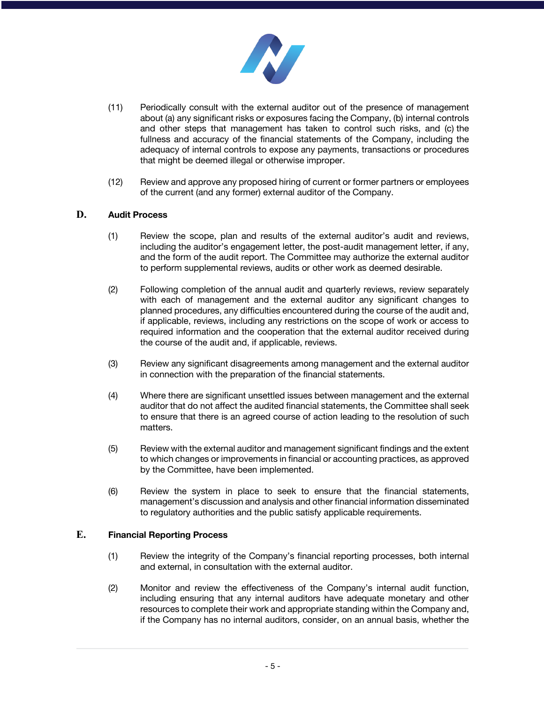

- (11) Periodically consult with the external auditor out of the presence of management about (a) any significant risks or exposures facing the Company, (b) internal controls and other steps that management has taken to control such risks, and (c) the fullness and accuracy of the financial statements of the Company, including the adequacy of internal controls to expose any payments, transactions or procedures that might be deemed illegal or otherwise improper.
- (12) Review and approve any proposed hiring of current or former partners or employees of the current (and any former) external auditor of the Company.

#### **D. Audit Process**

- (1) Review the scope, plan and results of the external auditor's audit and reviews, including the auditor's engagement letter, the post-audit management letter, if any, and the form of the audit report. The Committee may authorize the external auditor to perform supplemental reviews, audits or other work as deemed desirable.
- (2) Following completion of the annual audit and quarterly reviews, review separately with each of management and the external auditor any significant changes to planned procedures, any difficulties encountered during the course of the audit and, if applicable, reviews, including any restrictions on the scope of work or access to required information and the cooperation that the external auditor received during the course of the audit and, if applicable, reviews.
- (3) Review any significant disagreements among management and the external auditor in connection with the preparation of the financial statements.
- (4) Where there are significant unsettled issues between management and the external auditor that do not affect the audited financial statements, the Committee shall seek to ensure that there is an agreed course of action leading to the resolution of such matters.
- (5) Review with the external auditor and management significant findings and the extent to which changes or improvements in financial or accounting practices, as approved by the Committee, have been implemented.
- (6) Review the system in place to seek to ensure that the financial statements, management's discussion and analysis and other financial information disseminated to regulatory authorities and the public satisfy applicable requirements.

## **E. Financial Reporting Process**

- (1) Review the integrity of the Company's financial reporting processes, both internal and external, in consultation with the external auditor.
- (2) Monitor and review the effectiveness of the Company's internal audit function, including ensuring that any internal auditors have adequate monetary and other resources to complete their work and appropriate standing within the Company and, if the Company has no internal auditors, consider, on an annual basis, whether the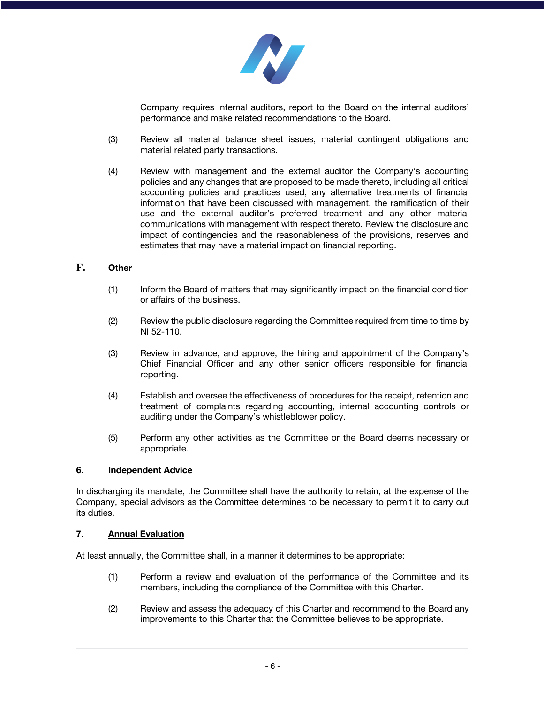

Company requires internal auditors, report to the Board on the internal auditors' performance and make related recommendations to the Board.

- (3) Review all material balance sheet issues, material contingent obligations and material related party transactions.
- (4) Review with management and the external auditor the Company's accounting policies and any changes that are proposed to be made thereto, including all critical accounting policies and practices used, any alternative treatments of financial information that have been discussed with management, the ramification of their use and the external auditor's preferred treatment and any other material communications with management with respect thereto. Review the disclosure and impact of contingencies and the reasonableness of the provisions, reserves and estimates that may have a material impact on financial reporting.

#### **F. Other**

- (1) Inform the Board of matters that may significantly impact on the financial condition or affairs of the business.
- (2) Review the public disclosure regarding the Committee required from time to time by NI 52-110.
- (3) Review in advance, and approve, the hiring and appointment of the Company's Chief Financial Officer and any other senior officers responsible for financial reporting.
- (4) Establish and oversee the effectiveness of procedures for the receipt, retention and treatment of complaints regarding accounting, internal accounting controls or auditing under the Company's whistleblower policy.
- (5) Perform any other activities as the Committee or the Board deems necessary or appropriate.

#### **6. Independent Advice**

In discharging its mandate, the Committee shall have the authority to retain, at the expense of the Company, special advisors as the Committee determines to be necessary to permit it to carry out its duties.

#### **7. Annual Evaluation**

At least annually, the Committee shall, in a manner it determines to be appropriate:

- (1) Perform a review and evaluation of the performance of the Committee and its members, including the compliance of the Committee with this Charter.
- (2) Review and assess the adequacy of this Charter and recommend to the Board any improvements to this Charter that the Committee believes to be appropriate.